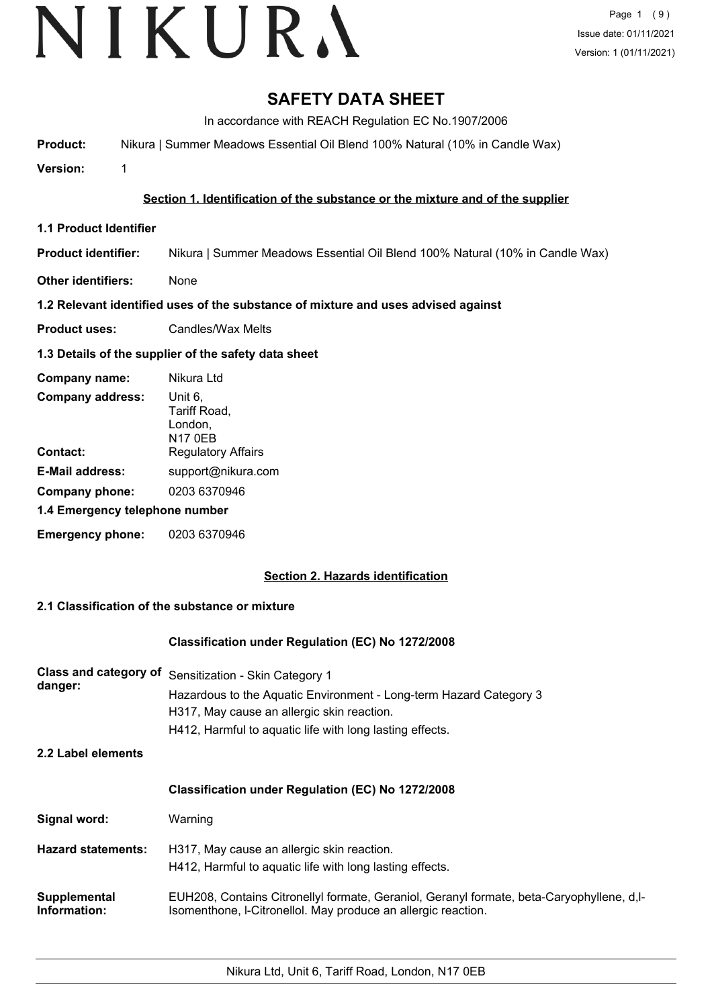# **SAFETY DATA SHEET**

In accordance with REACH Regulation EC No.1907/2006

**Product:** Nikura | Summer Meadows Essential Oil Blend 100% Natural (10% in Candle Wax)

**Version:** 1

# **Section 1. Identification of the substance or the mixture and of the supplier**

**1.1 Product Identifier**

**Product identifier:** Nikura | Summer Meadows Essential Oil Blend 100% Natural (10% in Candle Wax)

**Other identifiers:** None

# **1.2 Relevant identified uses of the substance of mixture and uses advised against**

**Product uses:** Candles/Wax Melts

# **1.3 Details of the supplier of the safety data sheet**

| Company name:                  | Nikura Ltd                                           |
|--------------------------------|------------------------------------------------------|
| <b>Company address:</b>        | Unit 6.<br>Tariff Road,<br>London,<br><b>N17 0EB</b> |
| Contact:                       | <b>Regulatory Affairs</b>                            |
| <b>E-Mail address:</b>         | support@nikura.com                                   |
| Company phone:                 | 0203 6370946                                         |
| 1.4 Emergency telephone number |                                                      |
| <b>Emergency phone:</b>        | 0203 6370946                                         |

# **Section 2. Hazards identification**

# **2.1 Classification of the substance or mixture**

#### **Classification under Regulation (EC) No 1272/2008**

| Class and category of<br>danger: | Sensitization - Skin Category 1<br>Hazardous to the Aquatic Environment - Long-term Hazard Category 3<br>H317, May cause an allergic skin reaction.<br>H412, Harmful to aquatic life with long lasting effects. |
|----------------------------------|-----------------------------------------------------------------------------------------------------------------------------------------------------------------------------------------------------------------|
| 2.2 Label elements               |                                                                                                                                                                                                                 |
|                                  | <b>Classification under Regulation (EC) No 1272/2008</b>                                                                                                                                                        |
| Signal word:                     | Warning                                                                                                                                                                                                         |
| <b>Hazard statements:</b>        | H317, May cause an allergic skin reaction.<br>H412, Harmful to aquatic life with long lasting effects.                                                                                                          |
| Supplemental<br>Information:     | EUH208, Contains Citronellyl formate, Geraniol, Geranyl formate, beta-Caryophyllene, d,l-<br>Isomenthone, I-Citronellol. May produce an allergic reaction.                                                      |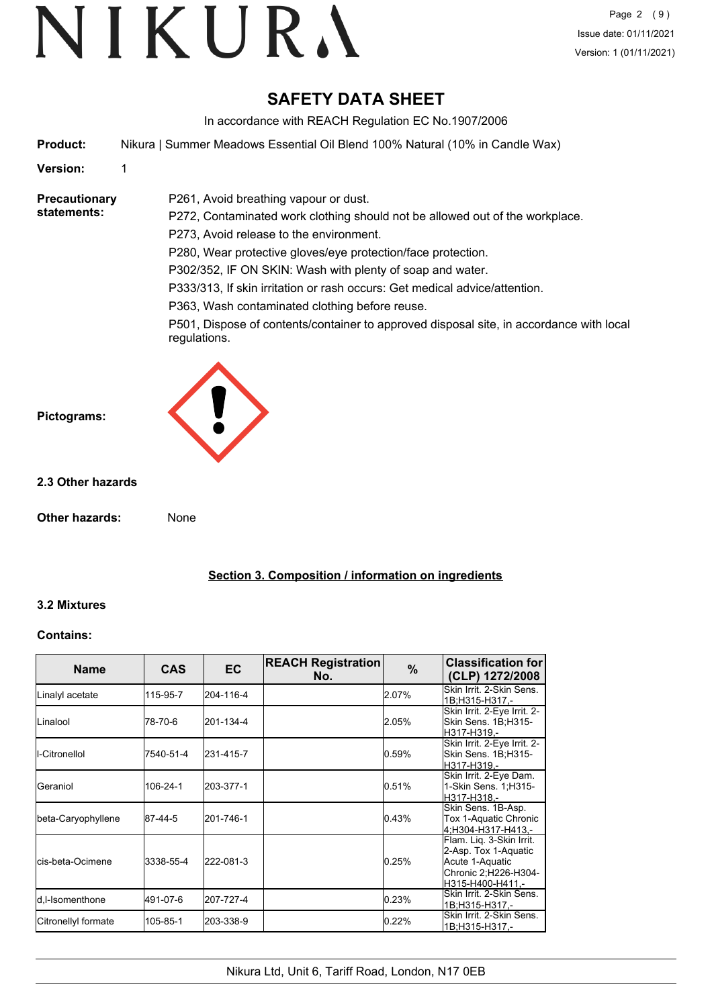# **SAFETY DATA SHEET**

In accordance with REACH Regulation EC No.1907/2006

**Product:** Nikura | Summer Meadows Essential Oil Blend 100% Natural (10% in Candle Wax)

P261, Avoid breathing vapour or dust.

**Version:** 1

**Precautionary statements:**

P272, Contaminated work clothing should not be allowed out of the workplace. P273, Avoid release to the environment. P280, Wear protective gloves/eye protection/face protection. P302/352, IF ON SKIN: Wash with plenty of soap and water. P333/313, If skin irritation or rash occurs: Get medical advice/attention.

P363, Wash contaminated clothing before reuse.

P501, Dispose of contents/container to approved disposal site, in accordance with local regulations.



## **2.3 Other hazards**

**Other hazards:** None

**Section 3. Composition / information on ingredients**

# **3.2 Mixtures**

#### **Contains:**

| <b>Name</b>               | <b>CAS</b> | <b>EC</b> | <b>REACH Registration</b><br>No. | $\frac{9}{6}$ | <b>Classification for</b><br>(CLP) 1272/2008                                                                     |
|---------------------------|------------|-----------|----------------------------------|---------------|------------------------------------------------------------------------------------------------------------------|
| Linalyl acetate           | 115-95-7   | 204-116-4 |                                  | 2.07%         | Skin Irrit. 2-Skin Sens.<br>1B;H315-H317,-                                                                       |
| ILinalool                 | 78-70-6    | 201-134-4 |                                  | 2.05%         | Skin Irrit. 2-Eye Irrit. 2-<br>Skin Sens. 1B:H315-<br>H317-H319.-                                                |
| I-Citronellol             | 7540-51-4  | 231-415-7 |                                  | 0.59%         | Skin Irrit. 2-Eye Irrit. 2-<br>Skin Sens. 1B;H315-<br>H317-H319,-                                                |
| lGeraniol                 | 106-24-1   | 203-377-1 |                                  | 0.51%         | Skin Irrit. 2-Eye Dam.<br>1-Skin Sens. 1; H315-<br>H317-H318.-                                                   |
| beta-Caryophyllene        | 87-44-5    | 201-746-1 |                                  | 0.43%         | Skin Sens. 1B-Asp.<br>Tox 1-Aquatic Chronic<br>4:H304-H317-H413.-                                                |
| <b>l</b> cis-beta-Ocimene | 3338-55-4  | 222-081-3 |                                  | 0.25%         | Flam. Liq. 3-Skin Irrit.<br>2-Asp. Tox 1-Aquatic<br>Acute 1-Aquatic<br>Chronic 2; H226-H304-<br>H315-H400-H411.- |
| d,l-Isomenthone           | 491-07-6   | 207-727-4 |                                  | 0.23%         | Skin Irrit. 2-Skin Sens.<br>1B;H315-H317.-                                                                       |
| Citronellyl formate       | 105-85-1   | 203-338-9 |                                  | 0.22%         | Skin Irrit. 2-Skin Sens.<br>1B;H315-H317,-                                                                       |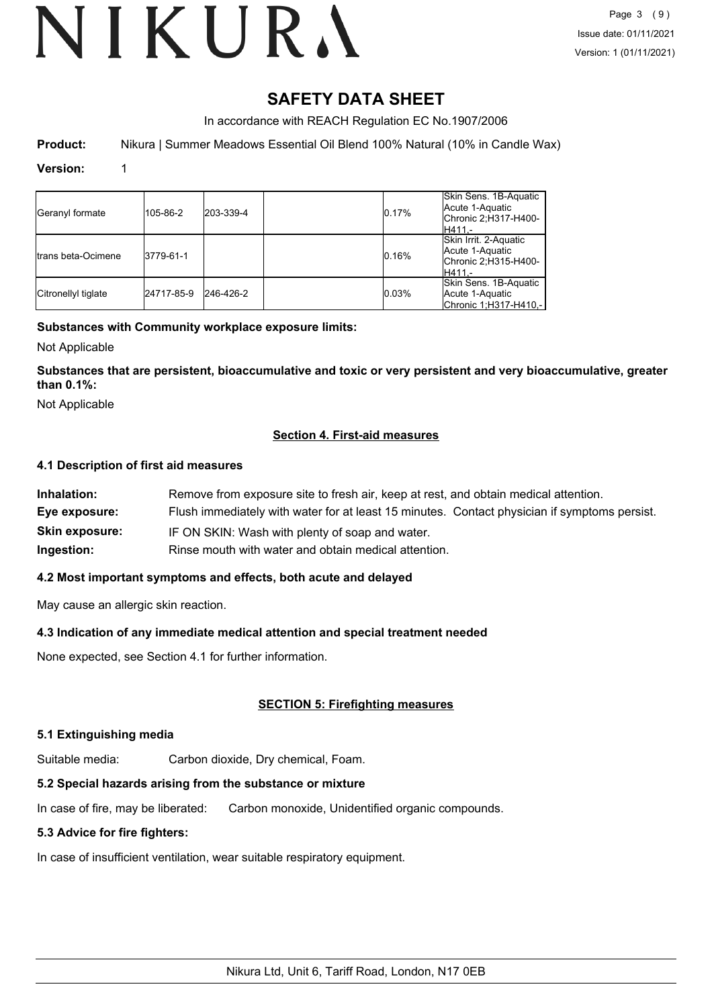# **SAFETY DATA SHEET**

In accordance with REACH Regulation EC No.1907/2006

**Product:** Nikura | Summer Meadows Essential Oil Blend 100% Natural (10% in Candle Wax)

#### **Version:** 1

| Geranyl formate     | 105-86-2   | 203-339-4 | 0.17% | Skin Sens. 1B-Aquatic<br>Acute 1-Aquatic<br>Chronic 2;H317-H400-<br>lH411.- |
|---------------------|------------|-----------|-------|-----------------------------------------------------------------------------|
| Itrans beta-Ocimene | 3779-61-1  |           | 0.16% | Skin Irrit. 2-Aquatic<br>Acute 1-Aquatic<br>Chronic 2;H315-H400-<br>lH411.- |
| Citronellyl tiglate | 24717-85-9 | 246-426-2 | 0.03% | Skin Sens. 1B-Aquatic<br>Acute 1-Aquatic<br>Chronic 1;H317-H410,-           |

## **Substances with Community workplace exposure limits:**

Not Applicable

**Substances that are persistent, bioaccumulative and toxic or very persistent and very bioaccumulative, greater than 0.1%:**

Not Applicable

## **Section 4. First-aid measures**

#### **4.1 Description of first aid measures**

| Inhalation:           | Remove from exposure site to fresh air, keep at rest, and obtain medical attention.          |
|-----------------------|----------------------------------------------------------------------------------------------|
| Eye exposure:         | Flush immediately with water for at least 15 minutes. Contact physician if symptoms persist. |
| <b>Skin exposure:</b> | IF ON SKIN: Wash with plenty of soap and water.                                              |
| Ingestion:            | Rinse mouth with water and obtain medical attention.                                         |

#### **4.2 Most important symptoms and effects, both acute and delayed**

May cause an allergic skin reaction.

#### **4.3 Indication of any immediate medical attention and special treatment needed**

None expected, see Section 4.1 for further information.

#### **SECTION 5: Firefighting measures**

#### **5.1 Extinguishing media**

Suitable media: Carbon dioxide, Dry chemical, Foam.

#### **5.2 Special hazards arising from the substance or mixture**

In case of fire, may be liberated: Carbon monoxide, Unidentified organic compounds.

#### **5.3 Advice for fire fighters:**

In case of insufficient ventilation, wear suitable respiratory equipment.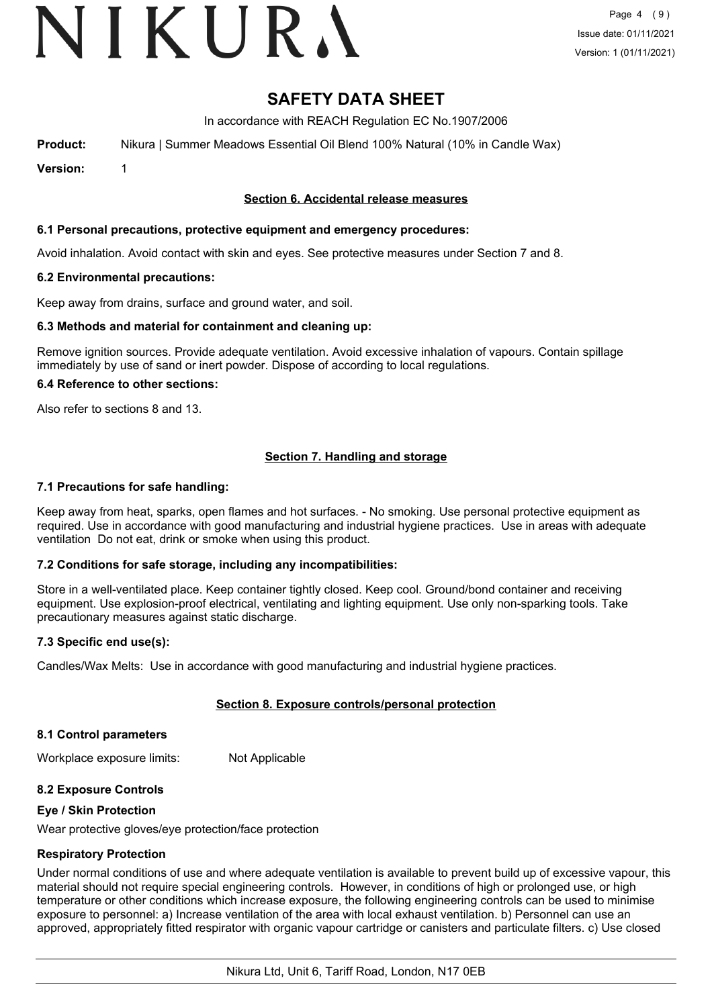# VIKURA

# **SAFETY DATA SHEET**

In accordance with REACH Regulation EC No.1907/2006

**Product:** Nikura | Summer Meadows Essential Oil Blend 100% Natural (10% in Candle Wax)

**Version:** 1

#### **Section 6. Accidental release measures**

#### **6.1 Personal precautions, protective equipment and emergency procedures:**

Avoid inhalation. Avoid contact with skin and eyes. See protective measures under Section 7 and 8.

#### **6.2 Environmental precautions:**

Keep away from drains, surface and ground water, and soil.

#### **6.3 Methods and material for containment and cleaning up:**

Remove ignition sources. Provide adequate ventilation. Avoid excessive inhalation of vapours. Contain spillage immediately by use of sand or inert powder. Dispose of according to local regulations.

#### **6.4 Reference to other sections:**

Also refer to sections 8 and 13.

## **Section 7. Handling and storage**

#### **7.1 Precautions for safe handling:**

Keep away from heat, sparks, open flames and hot surfaces. - No smoking. Use personal protective equipment as required. Use in accordance with good manufacturing and industrial hygiene practices. Use in areas with adequate ventilation Do not eat, drink or smoke when using this product.

#### **7.2 Conditions for safe storage, including any incompatibilities:**

Store in a well-ventilated place. Keep container tightly closed. Keep cool. Ground/bond container and receiving equipment. Use explosion-proof electrical, ventilating and lighting equipment. Use only non-sparking tools. Take precautionary measures against static discharge.

#### **7.3 Specific end use(s):**

Candles/Wax Melts: Use in accordance with good manufacturing and industrial hygiene practices.

#### **Section 8. Exposure controls/personal protection**

#### **8.1 Control parameters**

Workplace exposure limits: Not Applicable

#### **8.2 Exposure Controls**

#### **Eye / Skin Protection**

Wear protective gloves/eye protection/face protection

#### **Respiratory Protection**

Under normal conditions of use and where adequate ventilation is available to prevent build up of excessive vapour, this material should not require special engineering controls. However, in conditions of high or prolonged use, or high temperature or other conditions which increase exposure, the following engineering controls can be used to minimise exposure to personnel: a) Increase ventilation of the area with local exhaust ventilation. b) Personnel can use an approved, appropriately fitted respirator with organic vapour cartridge or canisters and particulate filters. c) Use closed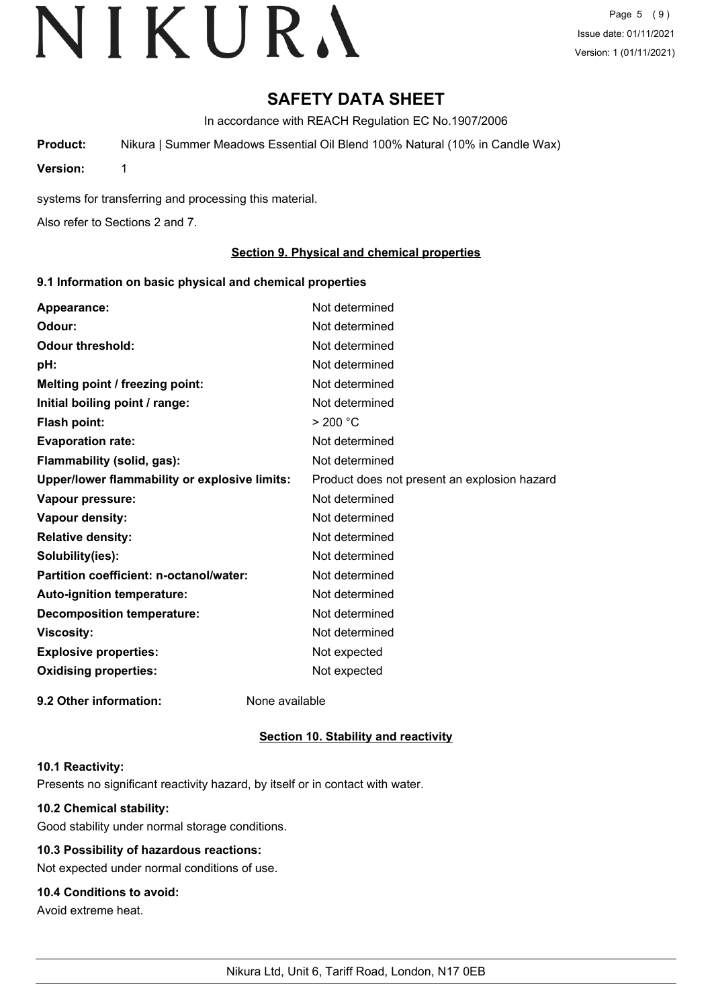# **SAFETY DATA SHEET**

In accordance with REACH Regulation EC No.1907/2006

**Product:** Nikura | Summer Meadows Essential Oil Blend 100% Natural (10% in Candle Wax)

**Version:** 1

systems for transferring and processing this material.

Also refer to Sections 2 and 7.

### **Section 9. Physical and chemical properties**

#### **9.1 Information on basic physical and chemical properties**

| Appearance:                                   | Not determined                               |
|-----------------------------------------------|----------------------------------------------|
| Odour:                                        | Not determined                               |
| <b>Odour threshold:</b>                       | Not determined                               |
| pH:                                           | Not determined                               |
| Melting point / freezing point:               | Not determined                               |
| Initial boiling point / range:                | Not determined                               |
| <b>Flash point:</b>                           | > 200 °C                                     |
| <b>Evaporation rate:</b>                      | Not determined                               |
| Flammability (solid, gas):                    | Not determined                               |
| Upper/lower flammability or explosive limits: | Product does not present an explosion hazard |
| Vapour pressure:                              | Not determined                               |
| Vapour density:                               | Not determined                               |
| <b>Relative density:</b>                      | Not determined                               |
| Solubility(ies):                              | Not determined                               |
| Partition coefficient: n-octanol/water:       | Not determined                               |
| Auto-ignition temperature:                    | Not determined                               |
| <b>Decomposition temperature:</b>             | Not determined                               |
| <b>Viscosity:</b>                             | Not determined                               |
| <b>Explosive properties:</b>                  | Not expected                                 |
| <b>Oxidising properties:</b>                  | Not expected                                 |
| 9.2 Other information:                        | None available                               |

#### **Section 10. Stability and reactivity**

#### **10.1 Reactivity:**

Presents no significant reactivity hazard, by itself or in contact with water.

# **10.2 Chemical stability:**

Good stability under normal storage conditions.

# **10.3 Possibility of hazardous reactions:**

Not expected under normal conditions of use.

# **10.4 Conditions to avoid:**

Avoid extreme heat.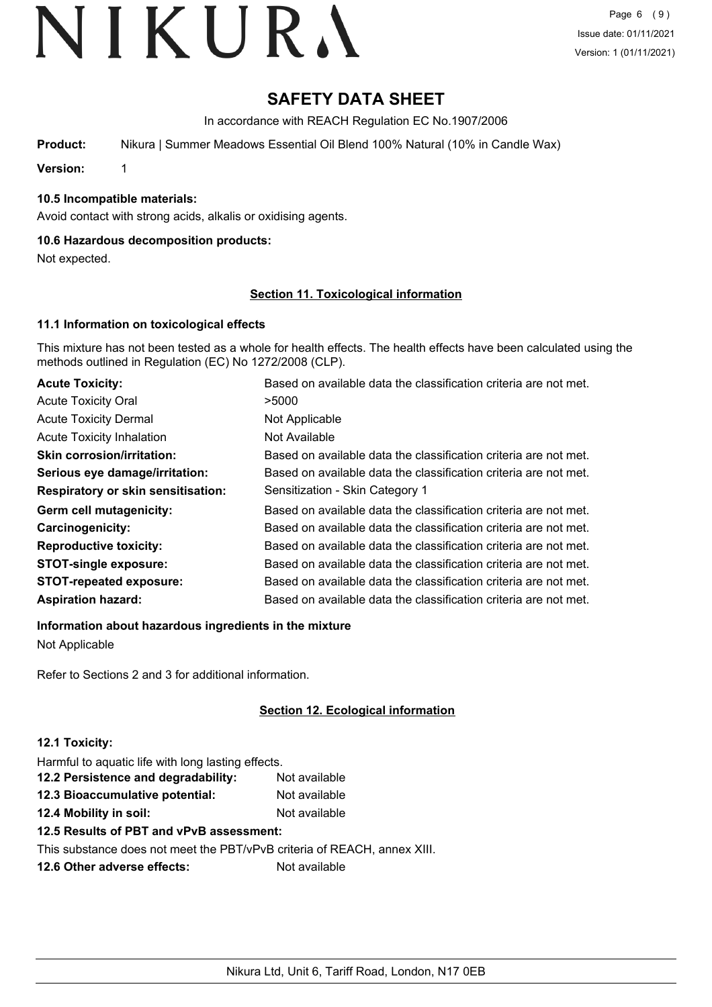# **SAFETY DATA SHEET**

In accordance with REACH Regulation EC No.1907/2006

**Product:** Nikura | Summer Meadows Essential Oil Blend 100% Natural (10% in Candle Wax)

**Version:** 1

**10.5 Incompatible materials:**

Avoid contact with strong acids, alkalis or oxidising agents.

## **10.6 Hazardous decomposition products:**

Not expected.

## **Section 11. Toxicological information**

## **11.1 Information on toxicological effects**

This mixture has not been tested as a whole for health effects. The health effects have been calculated using the methods outlined in Regulation (EC) No 1272/2008 (CLP).

| <b>Acute Toxicity:</b>                    | Based on available data the classification criteria are not met. |
|-------------------------------------------|------------------------------------------------------------------|
| <b>Acute Toxicity Oral</b>                | >5000                                                            |
| <b>Acute Toxicity Dermal</b>              | Not Applicable                                                   |
| <b>Acute Toxicity Inhalation</b>          | Not Available                                                    |
| <b>Skin corrosion/irritation:</b>         | Based on available data the classification criteria are not met. |
| Serious eye damage/irritation:            | Based on available data the classification criteria are not met. |
| <b>Respiratory or skin sensitisation:</b> | Sensitization - Skin Category 1                                  |
| Germ cell mutagenicity:                   | Based on available data the classification criteria are not met. |
| Carcinogenicity:                          | Based on available data the classification criteria are not met. |
| <b>Reproductive toxicity:</b>             | Based on available data the classification criteria are not met. |
| <b>STOT-single exposure:</b>              | Based on available data the classification criteria are not met. |
| <b>STOT-repeated exposure:</b>            | Based on available data the classification criteria are not met. |
| <b>Aspiration hazard:</b>                 | Based on available data the classification criteria are not met. |

**Information about hazardous ingredients in the mixture**

Not Applicable

Refer to Sections 2 and 3 for additional information.

# **Section 12. Ecological information**

#### **12.1 Toxicity:**

Harmful to aquatic life with long lasting effects.

| 12.2 Persistence and degradability: | Not available |
|-------------------------------------|---------------|
| 12.3 Bioaccumulative potential:     | Not available |
| 12.4 Mobility in soil:              | Not available |

**12.5 Results of PBT and vPvB assessment:**

This substance does not meet the PBT/vPvB criteria of REACH, annex XIII.

**12.6 Other adverse effects:** Not available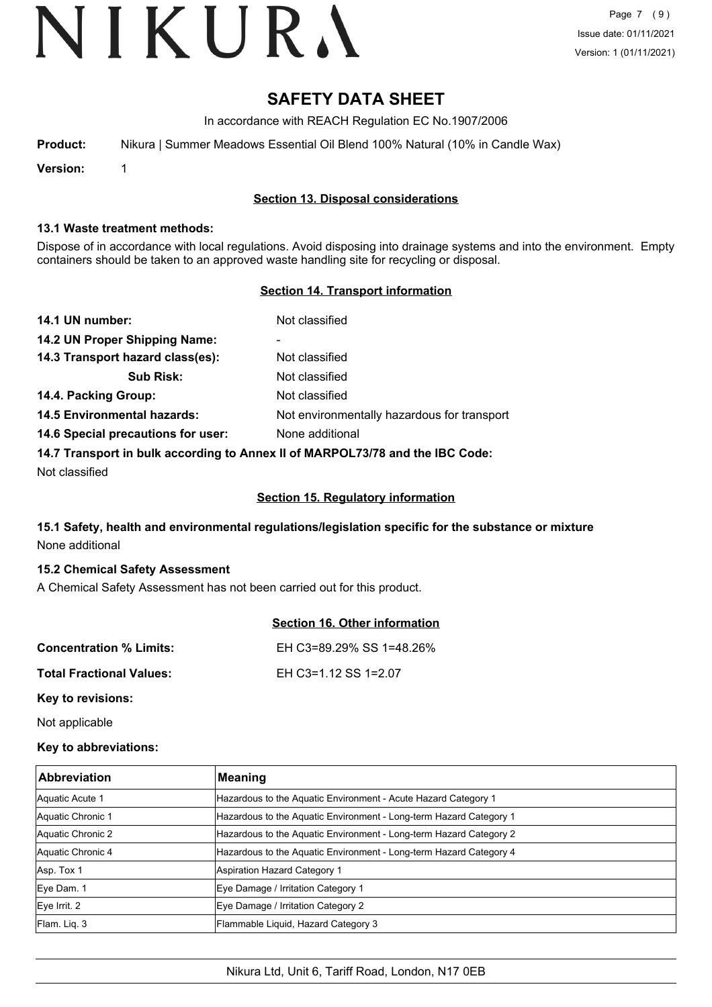# **SAFETY DATA SHEET**

In accordance with REACH Regulation EC No.1907/2006

| Nikura   Summer Meadows Essential Oil Blend 100% Natural (10% in Candle Wax)<br>Product: |  |  |
|------------------------------------------------------------------------------------------|--|--|
|------------------------------------------------------------------------------------------|--|--|

**Version:** 1

## **Section 13. Disposal considerations**

#### **13.1 Waste treatment methods:**

Dispose of in accordance with local regulations. Avoid disposing into drainage systems and into the environment. Empty containers should be taken to an approved waste handling site for recycling or disposal.

## **Section 14. Transport information**

| 14.1 UN number:                                                               | Not classified                              |
|-------------------------------------------------------------------------------|---------------------------------------------|
| 14.2 UN Proper Shipping Name:                                                 | ۰                                           |
| 14.3 Transport hazard class(es):                                              | Not classified                              |
| <b>Sub Risk:</b>                                                              | Not classified                              |
| 14.4. Packing Group:                                                          | Not classified                              |
| <b>14.5 Environmental hazards:</b>                                            | Not environmentally hazardous for transport |
| 14.6 Special precautions for user:                                            | None additional                             |
| 14.7 Transport in bulk according to Annex II of MARPOL73/78 and the IBC Code: |                                             |

Not classified

#### **Section 15. Regulatory information**

# **15.1 Safety, health and environmental regulations/legislation specific for the substance or mixture** None additional

#### **15.2 Chemical Safety Assessment**

A Chemical Safety Assessment has not been carried out for this product.

|                                 | <b>Section 16. Other information</b> |
|---------------------------------|--------------------------------------|
| <b>Concentration % Limits:</b>  | EH C3=89.29% SS 1=48.26%             |
| <b>Total Fractional Values:</b> | EH C3=1.12 SS 1=2.07                 |
| Key to revisions:               |                                      |

Not applicable

#### **Key to abbreviations:**

| <b>Abbreviation</b> | <b>Meaning</b>                                                     |
|---------------------|--------------------------------------------------------------------|
| Aquatic Acute 1     | Hazardous to the Aquatic Environment - Acute Hazard Category 1     |
| Aquatic Chronic 1   | Hazardous to the Aquatic Environment - Long-term Hazard Category 1 |
| Aquatic Chronic 2   | Hazardous to the Aquatic Environment - Long-term Hazard Category 2 |
| Aquatic Chronic 4   | Hazardous to the Aquatic Environment - Long-term Hazard Category 4 |
| Asp. Tox 1          | <b>Aspiration Hazard Category 1</b>                                |
| Eye Dam. 1          | Eye Damage / Irritation Category 1                                 |
| $Eye$ Irrit. 2      | Eye Damage / Irritation Category 2                                 |
| Flam. Liq. 3        | Flammable Liquid, Hazard Category 3                                |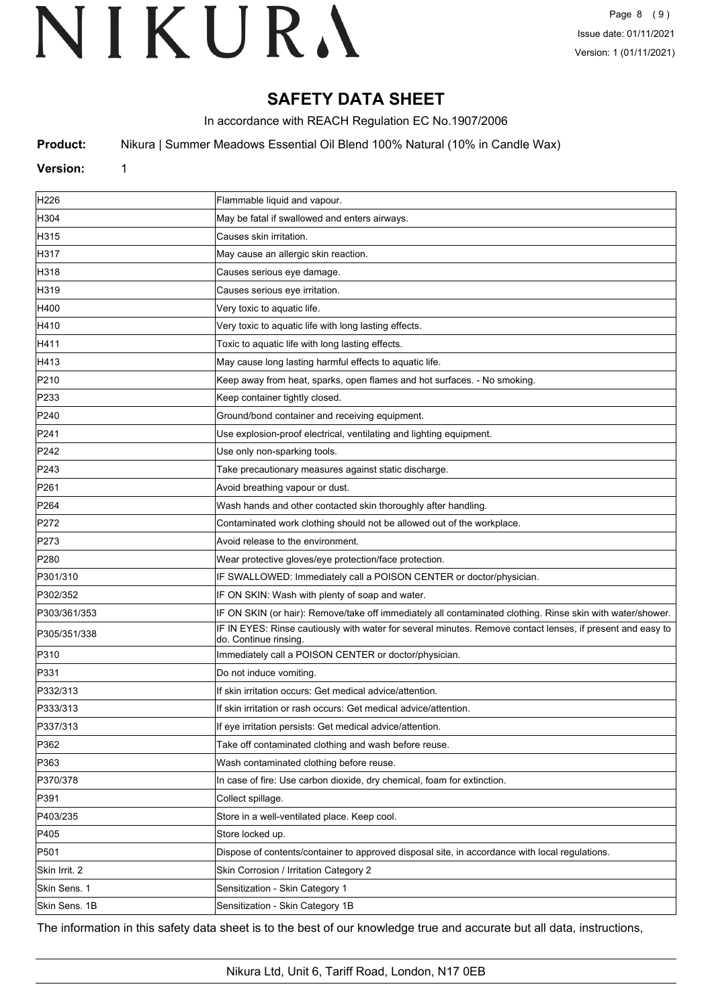# **SAFETY DATA SHEET**

In accordance with REACH Regulation EC No.1907/2006

**Product:** Nikura | Summer Meadows Essential Oil Blend 100% Natural (10% in Candle Wax)

## **Version:** 1

| H226             | Flammable liquid and vapour.                                                                                                        |
|------------------|-------------------------------------------------------------------------------------------------------------------------------------|
| H304             | May be fatal if swallowed and enters airways.                                                                                       |
| H315             | Causes skin irritation.                                                                                                             |
| H317             | May cause an allergic skin reaction.                                                                                                |
| H318             | Causes serious eye damage.                                                                                                          |
| H319             | Causes serious eye irritation.                                                                                                      |
| H400             | Very toxic to aquatic life.                                                                                                         |
| H410             | Very toxic to aquatic life with long lasting effects.                                                                               |
| H411             | Toxic to aquatic life with long lasting effects.                                                                                    |
| H413             | May cause long lasting harmful effects to aquatic life.                                                                             |
| P210             | Keep away from heat, sparks, open flames and hot surfaces. - No smoking.                                                            |
| P233             | Keep container tightly closed.                                                                                                      |
| P240             | Ground/bond container and receiving equipment.                                                                                      |
| P241             | Use explosion-proof electrical, ventilating and lighting equipment.                                                                 |
| P242             | Use only non-sparking tools.                                                                                                        |
| P243             | Take precautionary measures against static discharge.                                                                               |
| P261             | Avoid breathing vapour or dust.                                                                                                     |
| P <sub>264</sub> | Wash hands and other contacted skin thoroughly after handling.                                                                      |
| P272             | Contaminated work clothing should not be allowed out of the workplace.                                                              |
| P273             | Avoid release to the environment.                                                                                                   |
| P280             | Wear protective gloves/eye protection/face protection.                                                                              |
| P301/310         | IF SWALLOWED: Immediately call a POISON CENTER or doctor/physician.                                                                 |
| P302/352         | IF ON SKIN: Wash with plenty of soap and water.                                                                                     |
| P303/361/353     | IF ON SKIN (or hair): Remove/take off immediately all contaminated clothing. Rinse skin with water/shower.                          |
| P305/351/338     | IF IN EYES: Rinse cautiously with water for several minutes. Remove contact lenses, if present and easy to<br>do. Continue rinsing. |
| P310             | Immediately call a POISON CENTER or doctor/physician.                                                                               |
| P331             | Do not induce vomiting.                                                                                                             |
| P332/313         | If skin irritation occurs: Get medical advice/attention.                                                                            |
| P333/313         | If skin irritation or rash occurs: Get medical advice/attention.                                                                    |
| P337/313         | If eye irritation persists: Get medical advice/attention.                                                                           |
| P362             | Take off contaminated clothing and wash before reuse.                                                                               |
| P363             | Wash contaminated clothing before reuse.                                                                                            |
| P370/378         | In case of fire: Use carbon dioxide, dry chemical, foam for extinction.                                                             |
| P391             | Collect spillage.                                                                                                                   |
| P403/235         | Store in a well-ventilated place. Keep cool.                                                                                        |
| P405             | Store locked up.                                                                                                                    |
| P501             | Dispose of contents/container to approved disposal site, in accordance with local regulations.                                      |
| Skin Irrit. 2    | Skin Corrosion / Irritation Category 2                                                                                              |
| Skin Sens. 1     | Sensitization - Skin Category 1                                                                                                     |
| Skin Sens. 1B    | Sensitization - Skin Category 1B                                                                                                    |

The information in this safety data sheet is to the best of our knowledge true and accurate but all data, instructions,